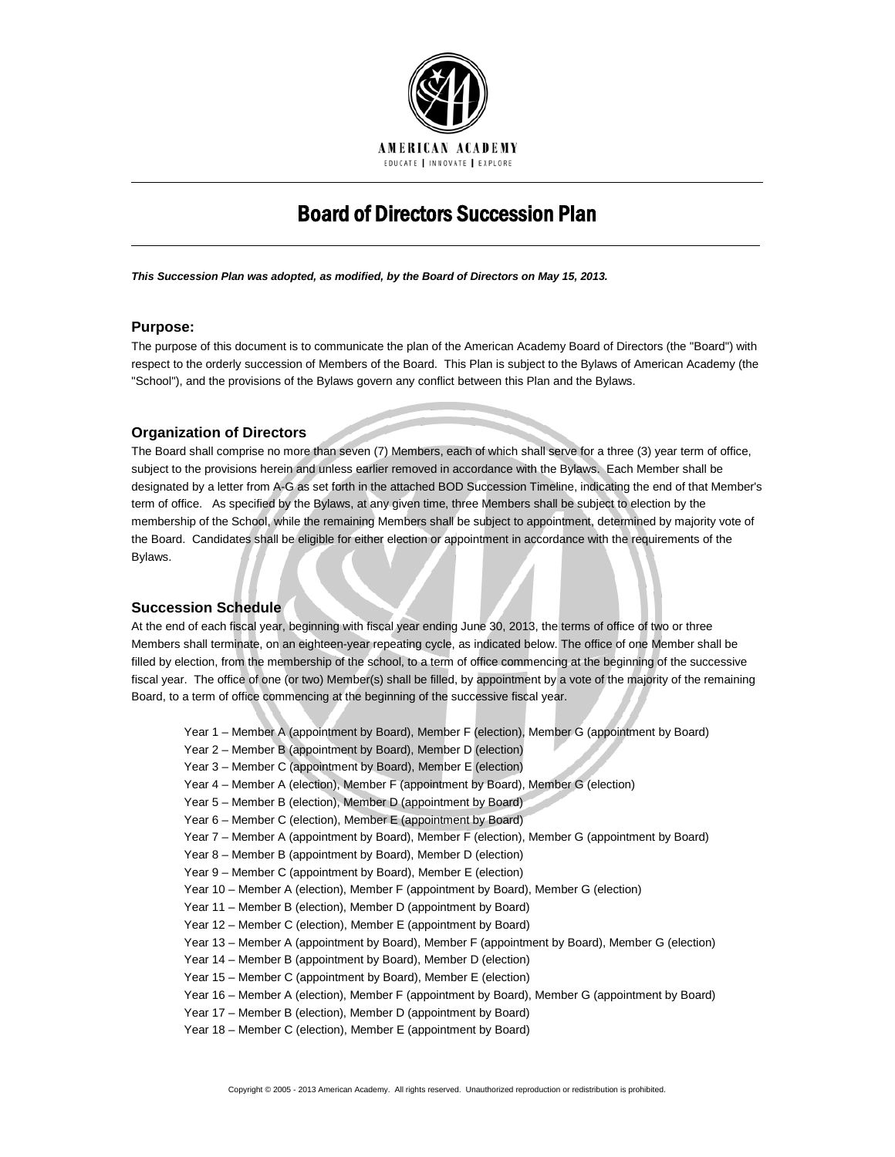

# Board of Directors Succession Plan

*This Succession Plan was adopted, as modified, by the Board of Directors on May 15, 2013.*

#### **Purpose:**

The purpose of this document is to communicate the plan of the American Academy Board of Directors (the "Board") with respect to the orderly succession of Members of the Board. This Plan is subject to the Bylaws of American Academy (the "School"), and the provisions of the Bylaws govern any conflict between this Plan and the Bylaws.

### **Organization of Directors**

The Board shall comprise no more than seven (7) Members, each of which shall serve for a three (3) year term of office, subject to the provisions herein and unless earlier removed in accordance with the Bylaws. Each Member shall be designated by a letter from A-G as set forth in the attached BOD Succession Timeline, indicating the end of that Member's term of office. As specified by the Bylaws, at any given time, three Members shall be subject to election by the membership of the School, while the remaining Members shall be subject to appointment, determined by majority vote of the Board. Candidates shall be eligible for either election or appointment in accordance with the requirements of the Bylaws.

#### **Succession Schedule**

At the end of each fiscal year, beginning with fiscal year ending June 30, 2013, the terms of office of two or three Members shall terminate, on an eighteen-year repeating cycle, as indicated below. The office of one Member shall be filled by election, from the membership of the school, to a term of office commencing at the beginning of the successive fiscal year. The office of one (or two) Member(s) shall be filled, by appointment by a vote of the majority of the remaining Board, to a term of office commencing at the beginning of the successive fiscal year.

Year 1 – Member A (appointment by Board), Member F (election), Member G (appointment by Board) Year 2 – Member B (appointment by Board), Member D (election) Year 3 – Member C (appointment by Board), Member E (election) Year 4 – Member A (election), Member F (appointment by Board), Member G (election) Year 5 – Member B (election), Member D (appointment by Board) Year 6 – Member C (election), Member E (appointment by Board) Year 7 – Member A (appointment by Board), Member F (election), Member G (appointment by Board) Year 8 – Member B (appointment by Board), Member D (election) Year 9 – Member C (appointment by Board), Member E (election) Year 10 – Member A (election), Member F (appointment by Board), Member G (election) Year 11 – Member B (election), Member D (appointment by Board) Year 12 – Member C (election), Member E (appointment by Board) Year 13 – Member A (appointment by Board), Member F (appointment by Board), Member G (election) Year 14 – Member B (appointment by Board), Member D (election) Year 15 – Member C (appointment by Board), Member E (election) Year 16 – Member A (election), Member F (appointment by Board), Member G (appointment by Board) Year 17 – Member B (election), Member D (appointment by Board) Year 18 – Member C (election), Member E (appointment by Board)